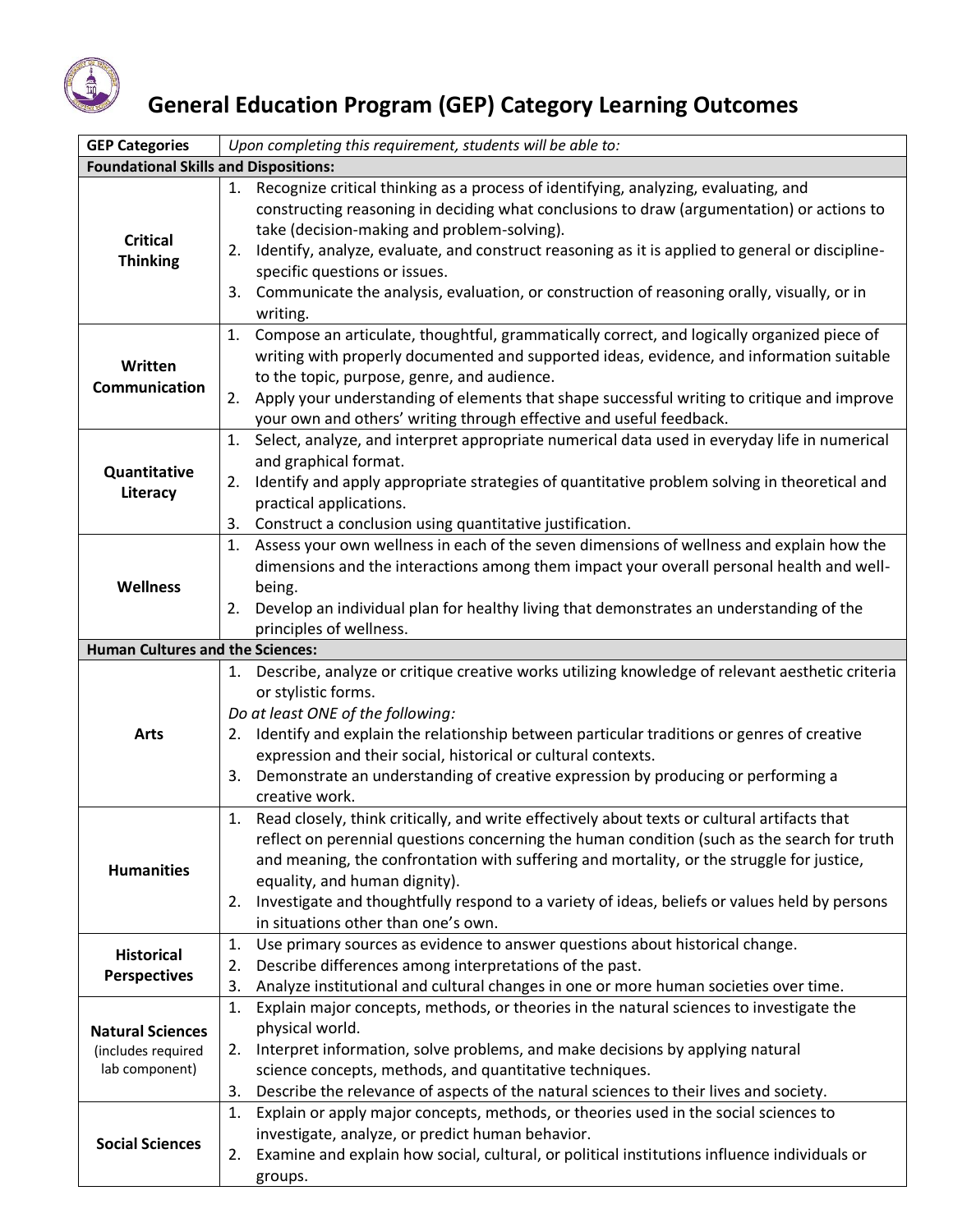

## **General Education Program (GEP) Category Learning Outcomes**

| <b>GEP Categories</b>                                           | Upon completing this requirement, students will be able to:                                                                                                                                                                                                                                                                                                                                                                                                                                  |  |
|-----------------------------------------------------------------|----------------------------------------------------------------------------------------------------------------------------------------------------------------------------------------------------------------------------------------------------------------------------------------------------------------------------------------------------------------------------------------------------------------------------------------------------------------------------------------------|--|
| <b>Foundational Skills and Dispositions:</b>                    |                                                                                                                                                                                                                                                                                                                                                                                                                                                                                              |  |
| <b>Critical</b><br><b>Thinking</b>                              | 1. Recognize critical thinking as a process of identifying, analyzing, evaluating, and<br>constructing reasoning in deciding what conclusions to draw (argumentation) or actions to<br>take (decision-making and problem-solving).<br>Identify, analyze, evaluate, and construct reasoning as it is applied to general or discipline-<br>2.<br>specific questions or issues.<br>Communicate the analysis, evaluation, or construction of reasoning orally, visually, or in<br>3.<br>writing. |  |
| Written<br>Communication                                        | Compose an articulate, thoughtful, grammatically correct, and logically organized piece of<br>1.<br>writing with properly documented and supported ideas, evidence, and information suitable<br>to the topic, purpose, genre, and audience.<br>Apply your understanding of elements that shape successful writing to critique and improve<br>2.<br>your own and others' writing through effective and useful feedback.                                                                       |  |
| Quantitative<br>Literacy                                        | Select, analyze, and interpret appropriate numerical data used in everyday life in numerical<br>1.<br>and graphical format.<br>Identify and apply appropriate strategies of quantitative problem solving in theoretical and<br>2.<br>practical applications.<br>Construct a conclusion using quantitative justification.<br>3.                                                                                                                                                               |  |
| <b>Wellness</b>                                                 | Assess your own wellness in each of the seven dimensions of wellness and explain how the<br>1.<br>dimensions and the interactions among them impact your overall personal health and well-<br>being.<br>Develop an individual plan for healthy living that demonstrates an understanding of the<br>2.<br>principles of wellness.                                                                                                                                                             |  |
| <b>Human Cultures and the Sciences:</b>                         |                                                                                                                                                                                                                                                                                                                                                                                                                                                                                              |  |
| <b>Arts</b>                                                     | 1. Describe, analyze or critique creative works utilizing knowledge of relevant aesthetic criteria<br>or stylistic forms.<br>Do at least ONE of the following:<br>Identify and explain the relationship between particular traditions or genres of creative<br>2.<br>expression and their social, historical or cultural contexts.<br>Demonstrate an understanding of creative expression by producing or performing a<br>3.<br>creative work.                                               |  |
| <b>Humanities</b>                                               | 1. Read closely, think critically, and write effectively about texts or cultural artifacts that<br>reflect on perennial questions concerning the human condition (such as the search for truth<br>and meaning, the confrontation with suffering and mortality, or the struggle for justice,<br>equality, and human dignity).<br>Investigate and thoughtfully respond to a variety of ideas, beliefs or values held by persons<br>2.<br>in situations other than one's own.                   |  |
| <b>Historical</b><br><b>Perspectives</b>                        | Use primary sources as evidence to answer questions about historical change.<br>1.<br>2.<br>Describe differences among interpretations of the past.<br>3.<br>Analyze institutional and cultural changes in one or more human societies over time.                                                                                                                                                                                                                                            |  |
| <b>Natural Sciences</b><br>(includes required<br>lab component) | Explain major concepts, methods, or theories in the natural sciences to investigate the<br>1.<br>physical world.<br>Interpret information, solve problems, and make decisions by applying natural<br>2.<br>science concepts, methods, and quantitative techniques.<br>Describe the relevance of aspects of the natural sciences to their lives and society.<br>3.                                                                                                                            |  |
| <b>Social Sciences</b>                                          | Explain or apply major concepts, methods, or theories used in the social sciences to<br>1.<br>investigate, analyze, or predict human behavior.<br>Examine and explain how social, cultural, or political institutions influence individuals or<br>2.<br>groups.                                                                                                                                                                                                                              |  |